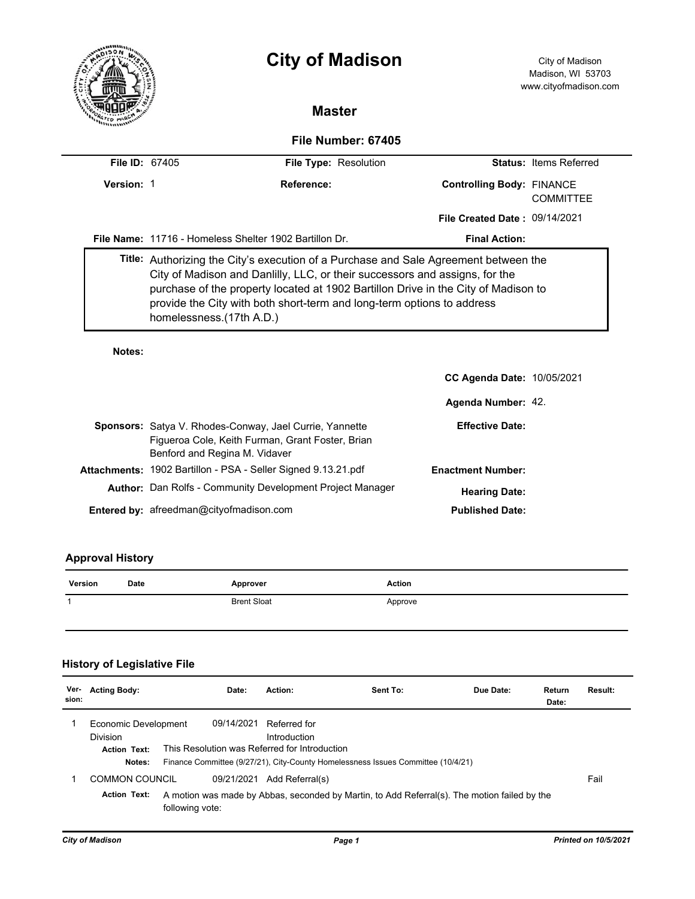

# **City of Madison** City of Madison

# **Master**

## **File Number: 67405**

| <b>File ID: 67405</b> | File Type: Resolution                                                                                                                                                                                                                                                                                                                                            |                                                        |                                                      | <b>Status: Items Referred</b> |  |  |  |
|-----------------------|------------------------------------------------------------------------------------------------------------------------------------------------------------------------------------------------------------------------------------------------------------------------------------------------------------------------------------------------------------------|--------------------------------------------------------|------------------------------------------------------|-------------------------------|--|--|--|
| Version: 1            |                                                                                                                                                                                                                                                                                                                                                                  | Reference:                                             | <b>Controlling Body: FINANCE</b><br><b>COMMITTEE</b> |                               |  |  |  |
|                       |                                                                                                                                                                                                                                                                                                                                                                  |                                                        | <b>File Created Date: 09/14/2021</b>                 |                               |  |  |  |
|                       |                                                                                                                                                                                                                                                                                                                                                                  | File Name: 11716 - Homeless Shelter 1902 Bartillon Dr. | <b>Final Action:</b>                                 |                               |  |  |  |
|                       | Title: Authorizing the City's execution of a Purchase and Sale Agreement between the<br>City of Madison and Danlilly, LLC, or their successors and assigns, for the<br>purchase of the property located at 1902 Bartillon Drive in the City of Madison to<br>provide the City with both short-term and long-term options to address<br>homelessness. (17th A.D.) |                                                        |                                                      |                               |  |  |  |

### **Notes:**

|                                                                                                                                                     | <b>CC Agenda Date: 10/05/2021</b> |  |
|-----------------------------------------------------------------------------------------------------------------------------------------------------|-----------------------------------|--|
|                                                                                                                                                     | Agenda Number: 42.                |  |
| <b>Sponsors:</b> Satya V. Rhodes-Conway, Jael Currie, Yannette<br>Figueroa Cole, Keith Furman, Grant Foster, Brian<br>Benford and Regina M. Vidaver | <b>Effective Date:</b>            |  |
| <b>Attachments: 1902 Bartillon - PSA - Seller Signed 9.13.21.pdf</b>                                                                                | <b>Enactment Number:</b>          |  |
| <b>Author:</b> Dan Rolfs - Community Development Project Manager                                                                                    | <b>Hearing Date:</b>              |  |
| Entered by: afreedman@cityofmadison.com                                                                                                             | <b>Published Date:</b>            |  |

## **Approval History**

| Version | Date | Approver           | <b>Action</b> |
|---------|------|--------------------|---------------|
|         |      | <b>Brent Sloat</b> | Approve       |

# **History of Legislative File**

| Ver-<br>sion: | <b>Acting Body:</b>                                                      | Date:                                                       | Action:                      | Sent To:                                                                                     | Due Date: | Return<br>Date: | Result: |
|---------------|--------------------------------------------------------------------------|-------------------------------------------------------------|------------------------------|----------------------------------------------------------------------------------------------|-----------|-----------------|---------|
|               | Economic Development<br><b>Division</b><br><b>Action Text:</b><br>Notes: | 09/14/2021<br>This Resolution was Referred for Introduction | Referred for<br>Introduction | Finance Committee (9/27/21), City-County Homelessness Issues Committee (10/4/21)             |           |                 |         |
|               | COMMON COUNCIL<br><b>Action Text:</b>                                    | 09/21/2021<br>following vote:                               | Add Referral(s)              | A motion was made by Abbas, seconded by Martin, to Add Referral(s). The motion failed by the |           |                 | Fail    |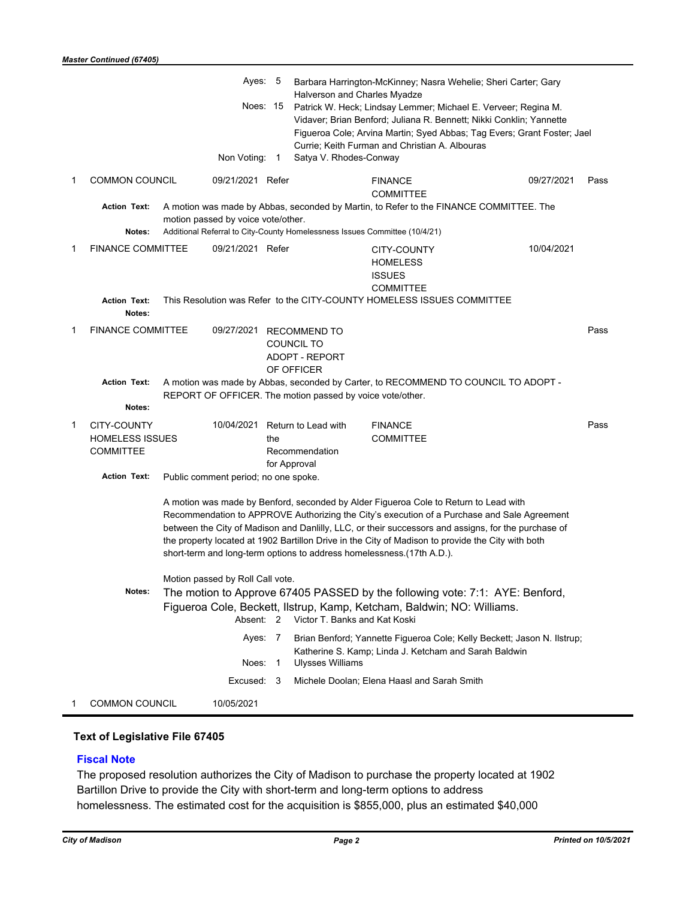|             |                                                                                                                                                                                                                                                                                                                                                                                                                                                                          |  | Ayes: 5                                                                                                              |     | Halverson and Charles Myadze                                               | Barbara Harrington-McKinney; Nasra Wehelie; Sheri Carter; Gary                                                                                                                                                                                                              |            |      |
|-------------|--------------------------------------------------------------------------------------------------------------------------------------------------------------------------------------------------------------------------------------------------------------------------------------------------------------------------------------------------------------------------------------------------------------------------------------------------------------------------|--|----------------------------------------------------------------------------------------------------------------------|-----|----------------------------------------------------------------------------|-----------------------------------------------------------------------------------------------------------------------------------------------------------------------------------------------------------------------------------------------------------------------------|------------|------|
|             |                                                                                                                                                                                                                                                                                                                                                                                                                                                                          |  |                                                                                                                      |     |                                                                            | Noes: 15 Patrick W. Heck; Lindsay Lemmer; Michael E. Verveer; Regina M.<br>Vidaver; Brian Benford; Juliana R. Bennett; Nikki Conklin; Yannette<br>Figueroa Cole; Arvina Martin; Syed Abbas; Tag Evers; Grant Foster; Jael<br>Currie: Keith Furman and Christian A. Albouras |            |      |
|             |                                                                                                                                                                                                                                                                                                                                                                                                                                                                          |  | Non Voting: 1                                                                                                        |     | Satya V. Rhodes-Conway                                                     |                                                                                                                                                                                                                                                                             |            |      |
| 1           | <b>COMMON COUNCIL</b>                                                                                                                                                                                                                                                                                                                                                                                                                                                    |  | 09/21/2021 Refer                                                                                                     |     |                                                                            | <b>FINANCE</b><br><b>COMMITTEE</b>                                                                                                                                                                                                                                          | 09/27/2021 | Pass |
|             | <b>Action Text:</b><br>Notes:                                                                                                                                                                                                                                                                                                                                                                                                                                            |  | motion passed by voice vote/other.                                                                                   |     | Additional Referral to City-County Homelessness Issues Committee (10/4/21) | A motion was made by Abbas, seconded by Martin, to Refer to the FINANCE COMMITTEE. The                                                                                                                                                                                      |            |      |
| 1           | <b>FINANCE COMMITTEE</b>                                                                                                                                                                                                                                                                                                                                                                                                                                                 |  | 09/21/2021 Refer                                                                                                     |     |                                                                            | CITY-COUNTY<br><b>HOMELESS</b><br><b>ISSUES</b><br><b>COMMITTEE</b>                                                                                                                                                                                                         | 10/04/2021 |      |
|             | <b>Action Text:</b><br>Notes:                                                                                                                                                                                                                                                                                                                                                                                                                                            |  |                                                                                                                      |     |                                                                            | This Resolution was Refer to the CITY-COUNTY HOMELESS ISSUES COMMITTEE                                                                                                                                                                                                      |            |      |
| 1           | <b>FINANCE COMMITTEE</b>                                                                                                                                                                                                                                                                                                                                                                                                                                                 |  | 09/27/2021                                                                                                           |     | <b>RECOMMEND TO</b><br>COUNCIL TO<br><b>ADOPT - REPORT</b><br>OF OFFICER   |                                                                                                                                                                                                                                                                             |            | Pass |
|             | <b>Action Text:</b>                                                                                                                                                                                                                                                                                                                                                                                                                                                      |  |                                                                                                                      |     | REPORT OF OFFICER. The motion passed by voice vote/other.                  | A motion was made by Abbas, seconded by Carter, to RECOMMEND TO COUNCIL TO ADOPT -                                                                                                                                                                                          |            |      |
|             | Notes:                                                                                                                                                                                                                                                                                                                                                                                                                                                                   |  |                                                                                                                      |     |                                                                            |                                                                                                                                                                                                                                                                             |            |      |
| $\mathbf 1$ | CITY-COUNTY<br><b>HOMELESS ISSUES</b><br><b>COMMITTEE</b>                                                                                                                                                                                                                                                                                                                                                                                                                |  | 10/04/2021                                                                                                           | the | Return to Lead with<br>Recommendation                                      | <b>FINANCE</b><br><b>COMMITTEE</b>                                                                                                                                                                                                                                          |            | Pass |
|             | <b>Action Text:</b>                                                                                                                                                                                                                                                                                                                                                                                                                                                      |  | Public comment period; no one spoke.                                                                                 |     | for Approval                                                               |                                                                                                                                                                                                                                                                             |            |      |
|             | A motion was made by Benford, seconded by Alder Figueroa Cole to Return to Lead with<br>Recommendation to APPROVE Authorizing the City's execution of a Purchase and Sale Agreement<br>between the City of Madison and Danlilly, LLC, or their successors and assigns, for the purchase of<br>the property located at 1902 Bartillon Drive in the City of Madison to provide the City with both<br>short-term and long-term options to address homelessness.(17th A.D.). |  |                                                                                                                      |     |                                                                            |                                                                                                                                                                                                                                                                             |            |      |
|             | Motion passed by Roll Call vote.<br>Notes:<br>The motion to Approve 67405 PASSED by the following vote: 7:1: AYE: Benford,                                                                                                                                                                                                                                                                                                                                               |  |                                                                                                                      |     |                                                                            |                                                                                                                                                                                                                                                                             |            |      |
|             |                                                                                                                                                                                                                                                                                                                                                                                                                                                                          |  | Figueroa Cole, Beckett, Ilstrup, Kamp, Ketcham, Baldwin; NO: Williams.<br>Victor T. Banks and Kat Koski<br>Absent: 2 |     |                                                                            |                                                                                                                                                                                                                                                                             |            |      |
|             |                                                                                                                                                                                                                                                                                                                                                                                                                                                                          |  | Ayes: 7<br>Noes: 1                                                                                                   |     | <b>Ulysses Williams</b>                                                    | Brian Benford; Yannette Figueroa Cole; Kelly Beckett; Jason N. Ilstrup;<br>Katherine S. Kamp; Linda J. Ketcham and Sarah Baldwin                                                                                                                                            |            |      |
|             |                                                                                                                                                                                                                                                                                                                                                                                                                                                                          |  | Excused: 3                                                                                                           |     |                                                                            | Michele Doolan; Elena Haasl and Sarah Smith                                                                                                                                                                                                                                 |            |      |
| 1           | <b>COMMON COUNCIL</b><br>10/05/2021                                                                                                                                                                                                                                                                                                                                                                                                                                      |  |                                                                                                                      |     |                                                                            |                                                                                                                                                                                                                                                                             |            |      |

## **Text of Legislative File 67405**

## **Fiscal Note**

The proposed resolution authorizes the City of Madison to purchase the property located at 1902 Bartillon Drive to provide the City with short-term and long-term options to address homelessness. The estimated cost for the acquisition is \$855,000, plus an estimated \$40,000